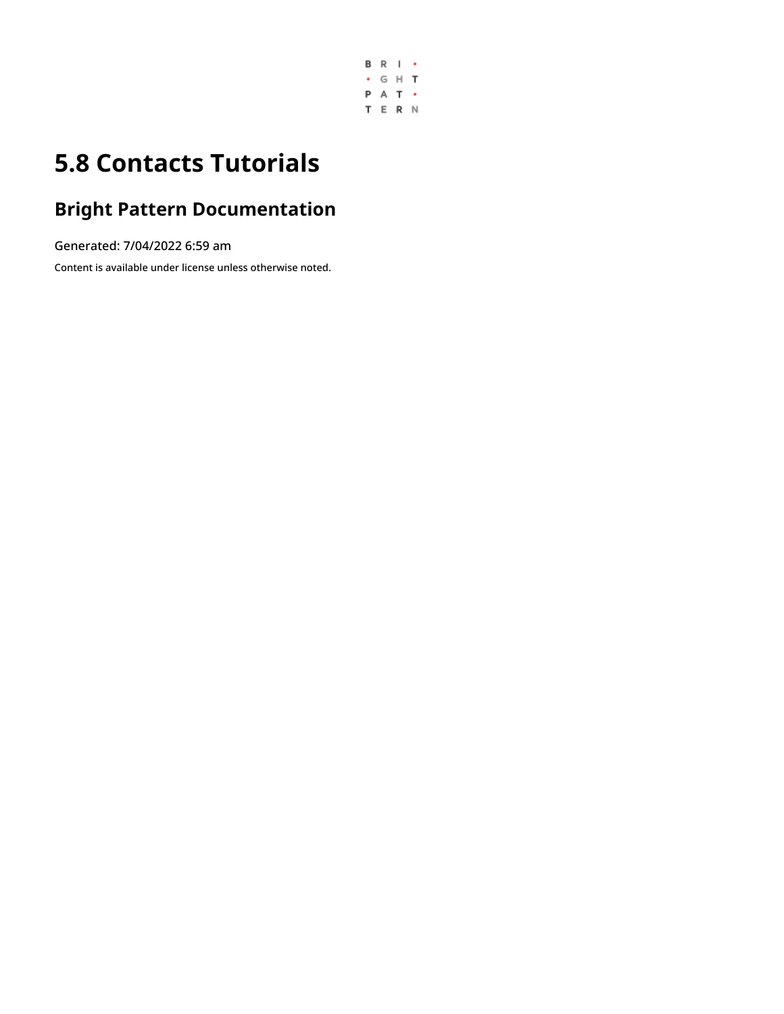

# **5.8 Contacts Tutorials**

### **Bright Pattern Documentation**

Generated: 7/04/2022 6:59 am

Content is available under license unless otherwise noted.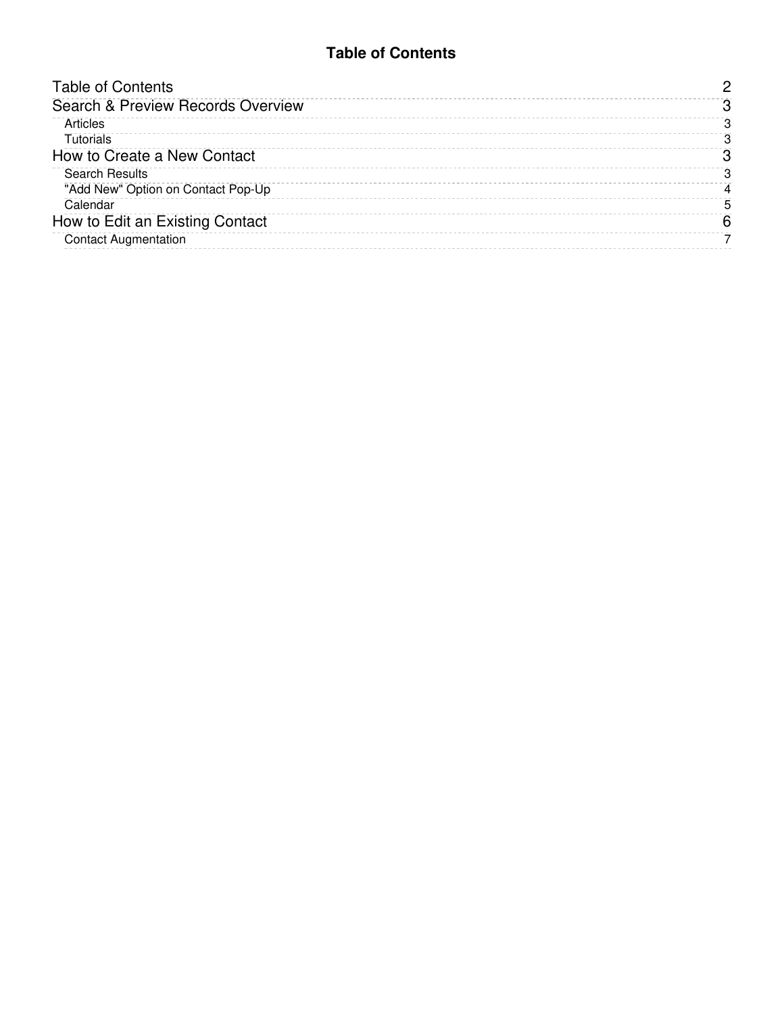#### **Table of Contents**

<span id="page-1-0"></span>

| <b>Table of Contents</b>           |   |
|------------------------------------|---|
| Search & Preview Records Overview  |   |
| Articles                           |   |
| Tutorials                          |   |
| How to Create a New Contact        |   |
| Search Results                     |   |
| "Add New" Option on Contact Pop-Up |   |
| Calendar                           | 5 |
| How to Edit an Existing Contact    | 6 |
| <b>Contact Augmentation</b>        |   |
|                                    |   |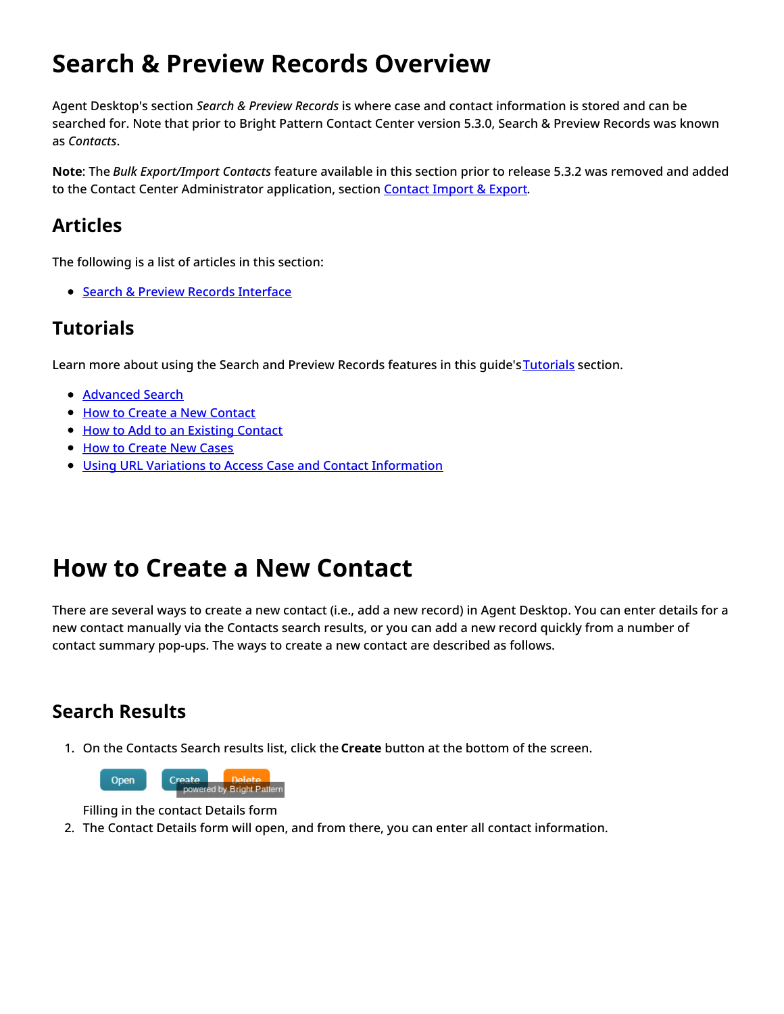## <span id="page-2-0"></span>**Search & Preview Records Overview**

Agent Desktop's section *Search & Preview Records* is where case and contact information is stored and can be searched for. Note that prior to Bright Pattern Contact Center version 5.3.0, Search & Preview Records was known as *Contacts*.

**Note**: The *Bulk Export/Import Contacts* feature available in this section prior to release 5.3.2 was removed and added to the [Contact](https://help.brightpattern.com/5.8:Agent-guide/Tutorials/Contacts/Overview/?action=html-localimages-export#topic_contact-center-administrator-guide.2Fcaseandcontactmanagement.2Fimportandexport) Center Administrator application, section Contact Import & Export.

#### <span id="page-2-1"></span>**Articles**

The following is a list of articles in this section:

**• Search & Preview Records [Interface](https://help.brightpattern.com/5.8:Agent-guide/Tutorials/Contacts/Overview/?action=html-localimages-export#topic_agent-guide.2Fwork.2Fsearchandpreviewrecords.2Fsearchandpreviewinterface)** 

#### <span id="page-2-2"></span>**Tutorials**

Learn more about using the Search and Preview Records features in this guide's [Tutorials](https://help.brightpattern.com/5.8:Agent-guide/Tutorials/Contacts/Overview/?action=html-localimages-export#topic_agent-guide.2Ftutorials.2Fsearch.2Foverview) section.

- **[Advanced](https://help.brightpattern.com/5.8:Agent-guide/Tutorials/Contacts/Overview/?action=html-localimages-export#topic_agent-guide.2Ftutorials.2Fsearch.2Fadvancedsearch) Search**
- How to Create a New [Contact](https://help.brightpattern.com/5.8:Agent-guide/Tutorials/Contacts/Overview/?action=html-localimages-export#topic_agent-guide.2Ftutorials.2Fcontacts.2Fhowtocreateanewcontact)
- How to Add to an [Existing](https://help.brightpattern.com/5.8:Agent-guide/Tutorials/Contacts/Overview/?action=html-localimages-export#topic_agent-guide.2Ftutorials.2Fcontacts.2Fhowtoaddtoanexistingcontact) Contact
- How to [Create](https://help.brightpattern.com/5.8:Agent-guide/Tutorials/Contacts/Overview/?action=html-localimages-export#topic_agent-guide.2Ftutorials.2Fcases.2Fhowtocreatenewcases) New Cases
- Using URL Variations to Access Case and Contact [Information](https://help.brightpattern.com/5.8:Agent-guide/Tutorials/Contacts/Overview/?action=html-localimages-export#topic_agent-guide.2Ftutorials.2Fsearch.2Furlvariationsforcaseandcontact)

## <span id="page-2-3"></span>**How to Create a New Contact**

There are several ways to create a new contact (i.e., add a new record) in Agent Desktop. You can enter details for a new contact manually via the Contacts search results, or you can add a new record quickly from a number of contact summary pop-ups. The ways to create a new contact are described as follows.

### <span id="page-2-4"></span>**Search Results**

1. On the Contacts Search results list, click the **Create** button at the bottom of the screen.



Filling in the contact Details form

2. The Contact Details form will open, and from there, you can enter all contact information.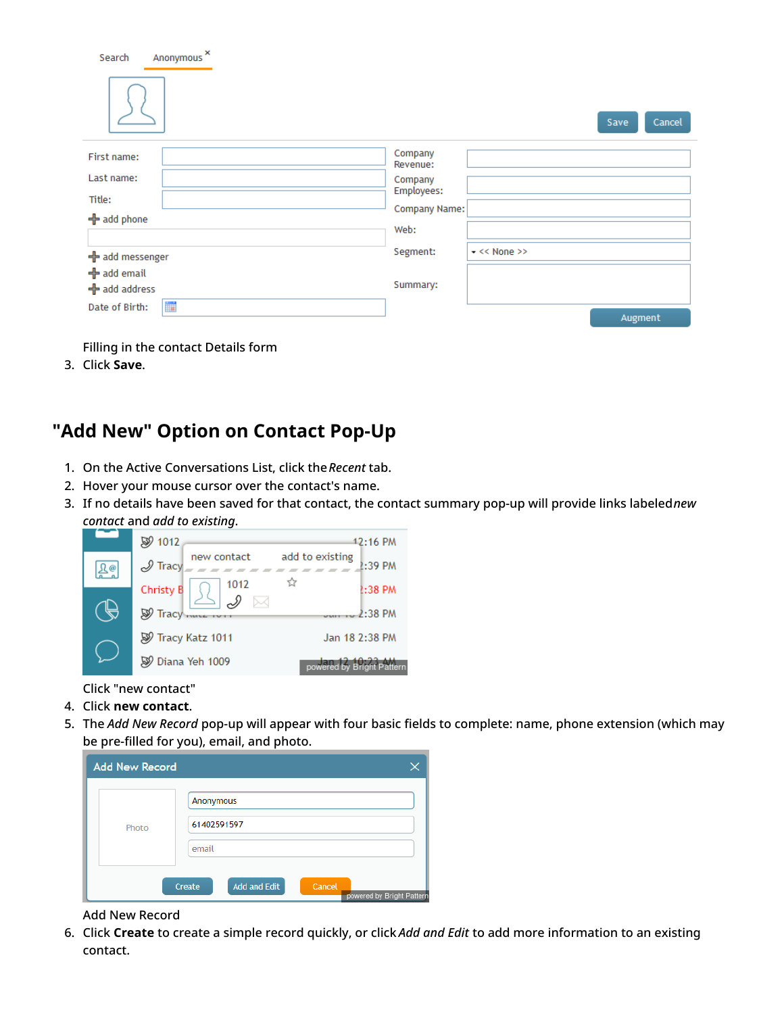| Anonymous <sup>×</sup><br>Search |                           |
|----------------------------------|---------------------------|
|                                  | Cancel<br>Save            |
| First name:                      | Company<br>Revenue:       |
| Last name:                       | Company                   |
| Title:                           | Employees:                |
| +add phone                       | Company Name:             |
|                                  | Web:                      |
| +add messenger                   | Segment:<br>$-<<$ None >> |
| +add email                       |                           |
| +add address                     | Summary:                  |
| H.<br>Date of Birth:             | Augment                   |

Filling in the contact Details form

3. Click **Save**.

### <span id="page-3-0"></span>**"Add New" Option on Contact Pop-Up**

- 1. On the Active Conversations List, click the*Recent* tab.
- 2. Hover your mouse cursor over the contact's name.
- 3. If no details have been saved for that contact, the contact summary pop-up will provide links labeled*new contact* and *add to existing*.



Click "new contact"

- 4. Click **new contact**.
- 5. The *Add New Record* pop-up will appear with four basic fields to complete: name, phone extension (which may be pre-filled for you), email, and photo.

| <b>Add New Record</b> |                                                               |
|-----------------------|---------------------------------------------------------------|
| Photo                 | Anonymous<br>61402591597                                      |
|                       | email                                                         |
|                       | Add and Edit<br>Cancel<br>Create<br>powered by Bright Pattern |

Add New Record

6. Click **Create** to create a simple record quickly, or click *Add and Edit* to add more information to an existing contact.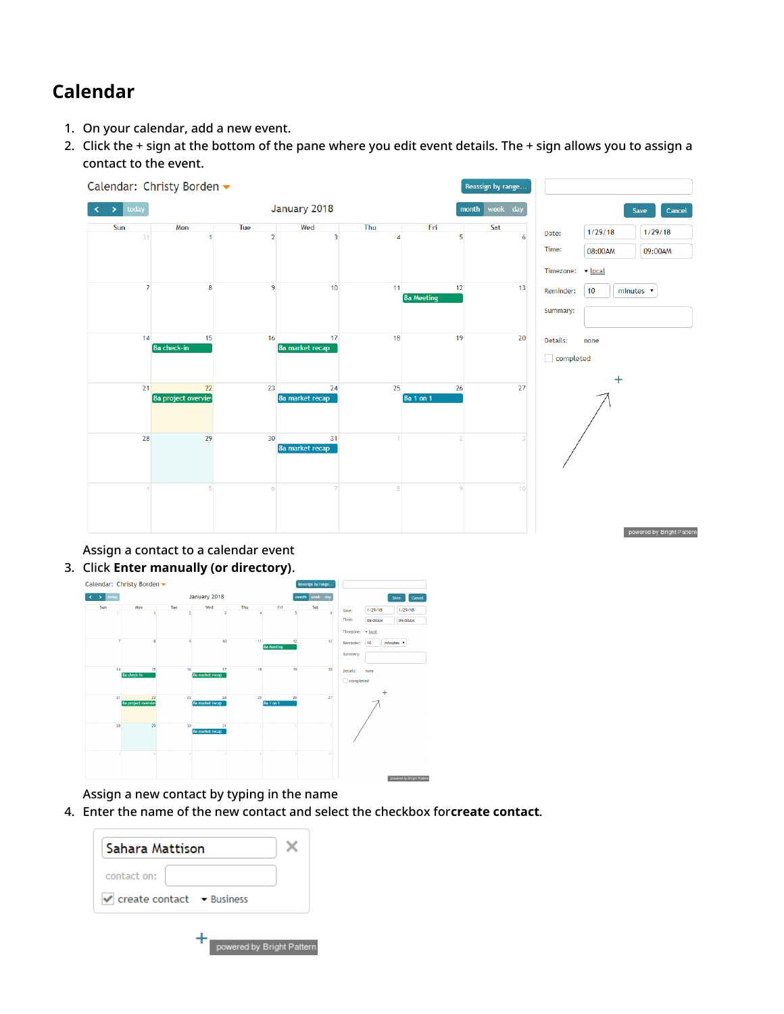### <span id="page-4-0"></span>**Calendar**

- 1. On your calendar, add a new event.
- 2. Click the + sign at the bottom of the pane where you edit event details. The + sign allows you to assign a contact to the event.



Assign a contact to a calendar event

3. Click **Enter manually (or directory)**.



Assign a new contact by typing in the name

4. Enter the name of the new contact and select the checkbox for**create contact**.

| Sahara Mattison                                                     |  |  |  |  |  |  |
|---------------------------------------------------------------------|--|--|--|--|--|--|
| contact on:                                                         |  |  |  |  |  |  |
| $\blacktriangleright$ create contact $\blacktriangleright$ Business |  |  |  |  |  |  |
|                                                                     |  |  |  |  |  |  |

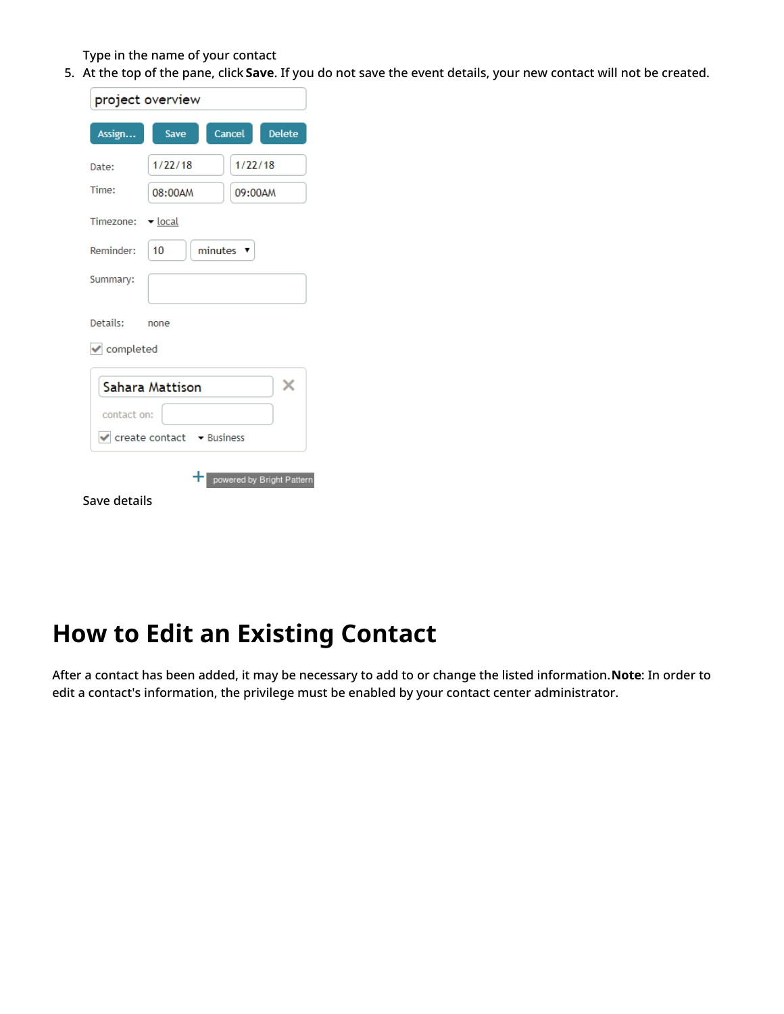Type in the name of your contact

5. At the top of the pane, click **Save**. If you do not save the event details, your new contact will not be created.

| project overview                          |               |         |               |  |  |  |  |  |
|-------------------------------------------|---------------|---------|---------------|--|--|--|--|--|
| Assign                                    | Save          | Cancel  | <b>Delete</b> |  |  |  |  |  |
| Date:                                     | 1/22/18       | 1/22/18 |               |  |  |  |  |  |
| Time:                                     | 08:00AM       | 09:00AM |               |  |  |  |  |  |
| Timezone:<br>$\blacktriangledown$ local   |               |         |               |  |  |  |  |  |
| Reminder:                                 | 10<br>minutes | ▼       |               |  |  |  |  |  |
| Summary:                                  |               |         |               |  |  |  |  |  |
| Details:<br>none<br>$\vee$ completed      |               |         |               |  |  |  |  |  |
| x<br>Sahara Mattison<br>contact on:       |               |         |               |  |  |  |  |  |
| $\vee$ create contact $\vee$ Business     |               |         |               |  |  |  |  |  |
| powered by Bright Pattern<br>Save details |               |         |               |  |  |  |  |  |

### <span id="page-5-0"></span>**How to Edit an Existing Contact**

After a contact has been added, it may be necessary to add to or change the listed information.**Note**: In order to edit a contact's information, the privilege must be enabled by your contact center administrator.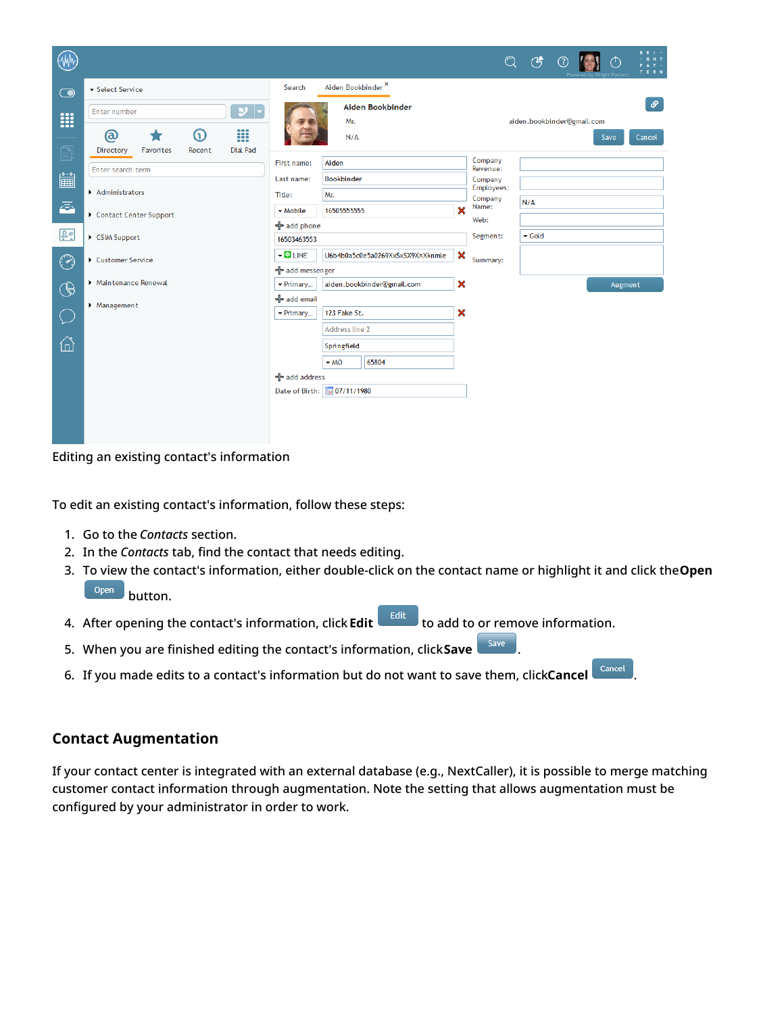|                |                        |           |        |                         |                                              |                                  |                           |                                        | $\mathbb{Q}$<br>$\bigcirc$ |  |                            | ∩       | <b>BRI-</b><br>G H T<br>$A$ $T$ $+$<br>TERN |
|----------------|------------------------|-----------|--------|-------------------------|----------------------------------------------|----------------------------------|---------------------------|----------------------------------------|----------------------------|--|----------------------------|---------|---------------------------------------------|
| $\bigodot$     | Select Service         |           |        |                         | Search                                       | Aiden Bookbinder <sup>×</sup>    |                           |                                        |                            |  |                            |         |                                             |
| !!!            | Enter number           |           |        | $\boldsymbol{\nu}$<br>۳ |                                              | Aiden Bookbinder<br>Mr.          |                           |                                        |                            |  | aiden.bookbinder@gmail.com |         | $\mathcal{P}$                               |
|                | @                      |           | ⋒      | ₩                       |                                              | N/A                              |                           |                                        |                            |  |                            | Save    | Cancel                                      |
| 囼              | Directory              | Favorites | Recent | Dial Pad                | First name:                                  | Aiden                            |                           | Company                                |                            |  |                            |         |                                             |
| ■              | Enter search term      |           |        |                         | Last name:                                   | Bookbinder                       |                           | Revenue:<br>Company                    |                            |  |                            |         |                                             |
|                | Administrators         |           |        |                         | Title:                                       | Mr.                              |                           | Employees:                             |                            |  |                            |         |                                             |
| $\bar{\Xi}$    | Contact Center Support |           |        |                         | - Mobile                                     | 16505555555                      | $\boldsymbol{\times}$     | Company<br>Name:                       | N/A                        |  |                            |         |                                             |
|                |                        |           |        |                         |                                              | <i><br/> dd phone</i>            |                           |                                        | Web:                       |  |                            |         |                                             |
| 2 <sup>e</sup> | CSIM Support           |           |        |                         | 16503463553                                  |                                  |                           | $\blacktriangleright$ Gold<br>Segment: |                            |  |                            |         |                                             |
| $\bigcirc$     | Customer Service       |           |        |                         | $\overline{\phantom{a}}$ $\blacksquare$ LINE | U6b4b0a5c0e5a0269XxSxSX9XnXknmle | ×                         | Summary:                               |                            |  |                            |         |                                             |
|                |                        |           |        |                         | + add messenger                              |                                  |                           |                                        |                            |  |                            |         |                                             |
| $\mathbb{Q}$   | Maintenance Renewal    |           |        |                         | - Primary                                    | aiden.bookbinder@gmail.com       | $\boldsymbol{\mathsf{x}}$ |                                        |                            |  |                            | Augment |                                             |
|                | Management             |           |        |                         | + add email<br>$\blacktriangleright$ Primary | 123 Fake St.                     | ×                         |                                        |                            |  |                            |         |                                             |
| $\bigcirc$     |                        |           |        |                         |                                              | Address line 2                   |                           |                                        |                            |  |                            |         |                                             |
| ⋒              |                        |           |        |                         |                                              | Springfield                      |                           |                                        |                            |  |                            |         |                                             |
|                |                        |           |        |                         |                                              | 65804<br>$-MO$                   |                           |                                        |                            |  |                            |         |                                             |
|                |                        |           |        |                         | ← add address                                |                                  |                           |                                        |                            |  |                            |         |                                             |
|                |                        |           |        |                         |                                              | Date of Birth: 07/11/1980        |                           |                                        |                            |  |                            |         |                                             |
|                |                        |           |        |                         |                                              |                                  |                           |                                        |                            |  |                            |         |                                             |
|                |                        |           |        |                         |                                              |                                  |                           |                                        |                            |  |                            |         |                                             |
|                |                        |           |        |                         |                                              |                                  |                           |                                        |                            |  |                            |         |                                             |

Editing an existing contact's information

To edit an existing contact's information, follow these steps:

- 1. Go to the *Contacts* section.
- 2. In the *Contacts* tab, find the contact that needs editing.
- 3. To view the contact's information, either double-click on the contact name or highlight it and click the**Open** open button.

- 4. After opening the contact's information, click **Edit** to add to or remove information.
- 5. When you are finished editing the contact's information, click**Save** .
- 6. If you made edits to a contact's information but do not want to save them, click**Cancel** .

#### <span id="page-6-0"></span>**Contact Augmentation**

If your contact center is integrated with an external database (e.g., NextCaller), it is possible to merge matching customer contact information through augmentation. Note the setting that allows augmentation must be configured by your administrator in order to work.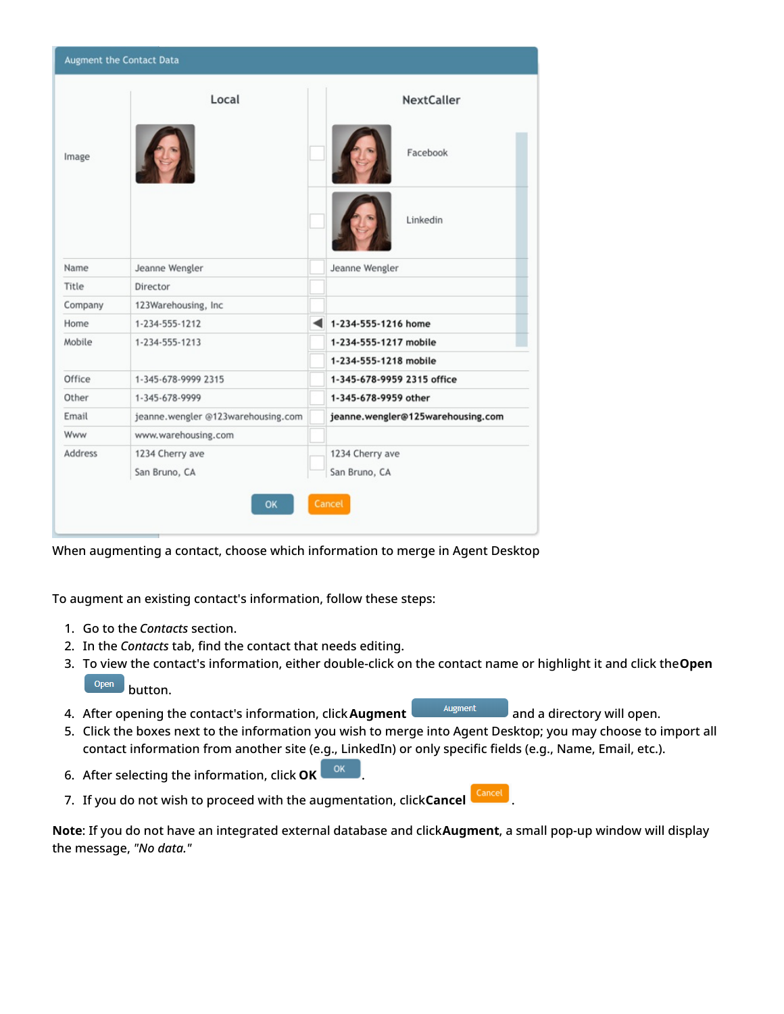| Augment the Contact Data |                                    |                   |                                   |  |  |  |  |
|--------------------------|------------------------------------|-------------------|-----------------------------------|--|--|--|--|
|                          | Local                              | <b>NextCaller</b> |                                   |  |  |  |  |
| Image                    |                                    |                   | Facebook                          |  |  |  |  |
|                          |                                    |                   | Linkedin                          |  |  |  |  |
| Name                     | Jeanne Wengler                     |                   | Jeanne Wengler                    |  |  |  |  |
| Title                    | Director                           |                   |                                   |  |  |  |  |
| Company                  | 123Warehousing, Inc.               |                   |                                   |  |  |  |  |
| Home                     | 1-234-555-1212                     | ◀                 | 1-234-555-1216 home               |  |  |  |  |
| Mobile                   | 1-234-555-1213                     |                   | 1-234-555-1217 mobile             |  |  |  |  |
|                          |                                    |                   | 1-234-555-1218 mobile             |  |  |  |  |
| Office                   | 1-345-678-9999 2315                |                   | 1-345-678-9959 2315 office        |  |  |  |  |
| Other                    | 1-345-678-9999                     |                   | 1-345-678-9959 other              |  |  |  |  |
| Email                    | jeanne.wengler @123warehousing.com |                   | jeanne.wengler@125warehousing.com |  |  |  |  |
| Www                      | www.warehousing.com                |                   |                                   |  |  |  |  |
| Address                  | 1234 Cherry ave                    |                   | 1234 Cherry ave                   |  |  |  |  |
|                          | San Bruno, CA                      |                   | San Bruno, CA                     |  |  |  |  |
|                          | OK                                 |                   | Cancel                            |  |  |  |  |

When augmenting a contact, choose which information to merge in Agent Desktop

To augment an existing contact's information, follow these steps:

- 1. Go to the *Contacts* section.
- 2. In the *Contacts* tab, find the contact that needs editing.
- 3. To view the contact's information, either double-click on the contact name or highlight it and click the**Open** open button.
- 4. After opening the contact's information, click **Augment Augment** and a directory will open.
- 5. Click the boxes next to the information you wish to merge into Agent Desktop; you may choose to import all contact information from another site (e.g., LinkedIn) or only specific fields (e.g., Name, Email, etc.).
- 6. After selecting the information, click **OK** .
- 7. If you do not wish to proceed with the augmentation, click**Cancel** .

**Note**: If you do not have an integrated external database and click**Augment**, a small pop-up window will display the message, *"No data."*